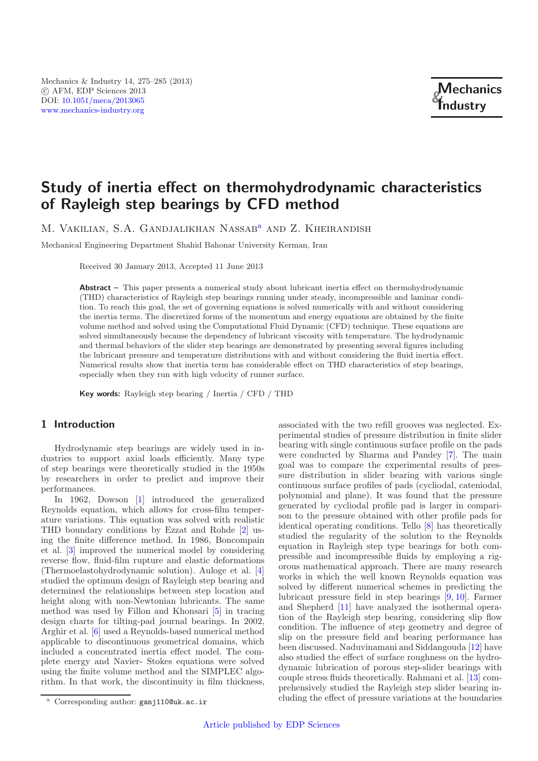# **Study of inertia effect on thermohydrodynamic characteristics of Rayleigh step bearings by CFD method**

M. VAKILIAN, S.A. GANDJALIKHAN NASSAB<sup>a</sup> AND Z. KHEIRANDISH

Mechanical Engineering Department Shahid Bahonar University Kerman, Iran

Received 30 January 2013, Accepted 11 June 2013

**Abstract –** This paper presents a numerical study about lubricant inertia effect on thermohydrodynamic (THD) characteristics of Rayleigh step bearings running under steady, incompressible and laminar condition. To reach this goal, the set of governing equations is solved numerically with and without considering the inertia terms. The discretized forms of the momentum and energy equations are obtained by the finite volume method and solved using the Computational Fluid Dynamic (CFD) technique. These equations are solved simultaneously because the dependency of lubricant viscosity with temperature. The hydrodynamic and thermal behaviors of the slider step bearings are demonstrated by presenting several figures including the lubricant pressure and temperature distributions with and without considering the fluid inertia effect. Numerical results show that inertia term has considerable effect on THD characteristics of step bearings, especially when they run with high velocity of runner surface.

**Key words:** Rayleigh step bearing / Inertia / CFD / THD

# **1 Introduction**

Hydrodynamic step bearings are widely used in industries to support axial loads efficiently. Many type of step bearings were theoretically studied in the 1950s by researchers in order to predict and improve their performances.

In 1962, Dowson [\[1\]](#page-9-0) introduced the generalized Reynolds equation, which allows for cross-film temperature variations. This equation was solved with realistic THD boundary conditions by Ezzat and Rohde [\[2\]](#page-9-1) using the finite difference method. In 1986, Boncompain et al. [\[3\]](#page-9-2) improved the numerical model by considering reverse flow, fluid-film rupture and elastic deformations (Thermoelastohydrodynamic solution). Auloge et al. [\[4\]](#page-9-3) studied the optimum design of Rayleigh step bearing and determined the relationships between step location and height along with non-Newtonian lubricants. The same method was used by Fillon and Khonsari [\[5\]](#page-9-4) in tracing design charts for tilting-pad journal bearings. In 2002, Arghir et al. [\[6\]](#page-9-5) used a Reynolds-based numerical method applicable to discontinuous geometrical domains, which included a concentrated inertia effect model. The complete energy and Navier- Stokes equations were solved using the finite volume method and the SIMPLEC algorithm. In that work, the discontinuity in film thickness,

associated with the two refill grooves was neglected. Experimental studies of pressure distribution in finite slider bearing with single continuous surface profile on the pads were conducted by Sharma and Pandey [\[7](#page-9-6)]. The main goal was to compare the experimental results of pressure distribution in slider bearing with various single continuous surface profiles of pads (cycliodal, cateniodal, polynomial and plane). It was found that the pressure generated by cycliodal profile pad is larger in comparison to the pressure obtained with other profile pads for identical operating conditions. Tello [\[8](#page-9-7)] has theoretically studied the regularity of the solution to the Reynolds equation in Rayleigh step type bearings for both compressible and incompressible fluids by employing a rigorous mathematical approach. There are many research works in which the well known Reynolds equation was solved by different numerical schemes in predicting the lubricant pressure field in step bearings [\[9](#page-9-8), [10](#page-9-9)]. Farmer and Shepherd [\[11\]](#page-9-10) have analyzed the isothermal operation of the Rayleigh step bearing, considering slip flow condition. The influence of step geometry and degree of slip on the pressure field and bearing performance has been discussed. Naduvinamani and Siddangouda [\[12\]](#page-9-11) have also studied the effect of surface roughness on the hydrodynamic lubrication of porous step-slider bearings with couple stress fluids theoretically. Rahmani et al. [\[13](#page-10-0)] comprehensively studied the Rayleigh step slider bearing including the effect of pressure variations at the boundaries

<sup>a</sup> Corresponding author: ganj110@uk.ac.ir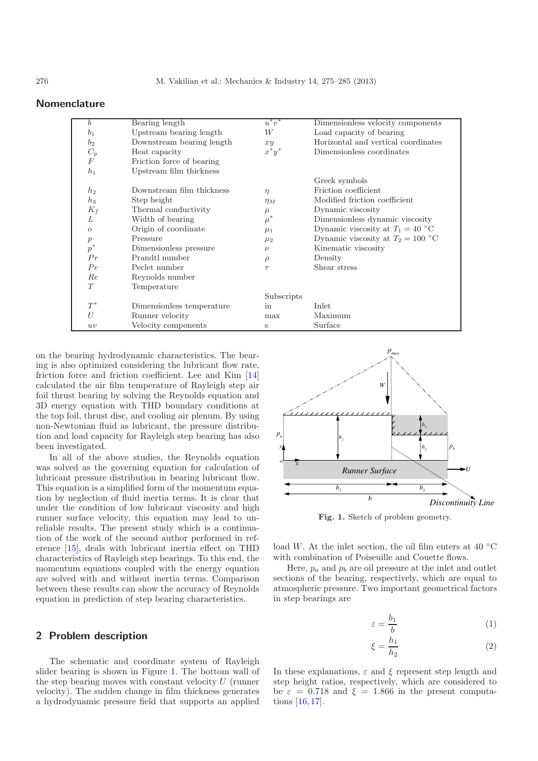| b                | Bearing length            | $u^*v^*$   | Dimensionless velocity components   |
|------------------|---------------------------|------------|-------------------------------------|
| b <sub>1</sub>   | Upstream bearing length   | W          | Load capacity of bearing            |
| b <sub>2</sub>   | Downstream bearing length | xy         | Horizontal and vertical coordinates |
| $C_p$            | Heat capacity             | $x^*y^*$   | Dimensionless coordinates           |
| $\boldsymbol{F}$ | Friction force of bearing |            |                                     |
| $h_1$            | Upstream film thickness   |            |                                     |
|                  |                           |            | Greek symbols                       |
| h <sub>2</sub>   | Downstream film thickness | $\eta$     | Friction coefficient                |
| $h_3$            | Step height               | $\eta_M$   | Modified friction coefficient       |
| $K_f$            | Thermal conductivity      | $\mu$      | Dynamic viscosity                   |
| L                | Width of bearing          | $\mu^*$    | Dimensionless dynamic viscosity     |
| $\overline{O}$   | Origin of coordinate      | $\mu_1$    | Dynamic viscosity at $T_1 = 40$ °C  |
| $\boldsymbol{p}$ | Pressure                  | $\mu_2$    | Dynamic viscosity at $T_2 = 100$ °C |
| $p^\ast$         | Dimensionless pressure    | $\nu$      | Kinematic viscosity                 |
| Pr               | Prandtl number            | $\rho$     | Density                             |
| Pe               | Peclet number             | $\tau$     | Shear stress                        |
| Re               | Reynolds number           |            |                                     |
| T                | Temperature               |            |                                     |
|                  |                           | Subscripts |                                     |
| $T^*$            | Dimensionless temperature | in         | Inlet                               |
| U                | Runner velocity           | max        | Maximum                             |
| uv               | Velocity components       | S          | Surface                             |

# **Nomenclature**

on the bearing hydrodynamic characteristics. The bearing is also optimized considering the lubricant flow rate, friction force and friction coefficient. Lee and Kim [\[14](#page-10-1)] calculated the air film temperature of Rayleigh step air foil thrust bearing by solving the Reynolds equation and 3D energy equation with THD boundary conditions at the top foil, thrust disc, and cooling air plenum. By using non-Newtonian fluid as lubricant, the pressure distribution and load capacity for Rayleigh step bearing has also been investigated.

In all of the above studies, the Reynolds equation was solved as the governing equation for calculation of lubricant pressure distribution in bearing lubricant flow. This equation is a simplified form of the momentum equation by neglection of fluid inertia terms. It is clear that under the condition of low lubricant viscosity and high runner surface velocity, this equation may lead to unreliable results. The present study which is a continuation of the work of the second author performed in reference [\[15](#page-10-2)], deals with lubricant inertia effect on THD characteristics of Rayleigh step bearings. To this end, the momentum equations coupled with the energy equation are solved with and without inertia terms. Comparison between these results can show the accuracy of Reynolds equation in prediction of step bearing characteristics.

# **2 Problem description**

The schematic and coordinate system of Rayleigh slider bearing is shown in Figure [1.](#page-1-0) The bottom wall of the step bearing moves with constant velocity  $U$  (runner velocity). The sudden change in film thickness generates a hydrodynamic pressure field that supports an applied

<span id="page-1-0"></span>

**Fig. 1.** Sketch of problem geometry.

load W. At the inlet section, the oil film enters at 40  $\rm{^{\circ}C}$ with combination of Poiseuille and Couette flows.

Here,  $p_a$  and  $p_b$  are oil pressure at the inlet and outlet sections of the bearing, respectively, which are equal to atmospheric pressure. Two important geometrical factors in step bearings are

$$
\varepsilon = \frac{b_1}{b} \tag{1}
$$

$$
\xi = \frac{h_1}{h_2} \tag{2}
$$

In these explanations,  $\varepsilon$  and  $\xi$  represent step length and step height ratios, respectively, which are considered to be  $\varepsilon = 0.718$  and  $\xi = 1.866$  in the present computations [\[16,](#page-10-3) [17\]](#page-10-4).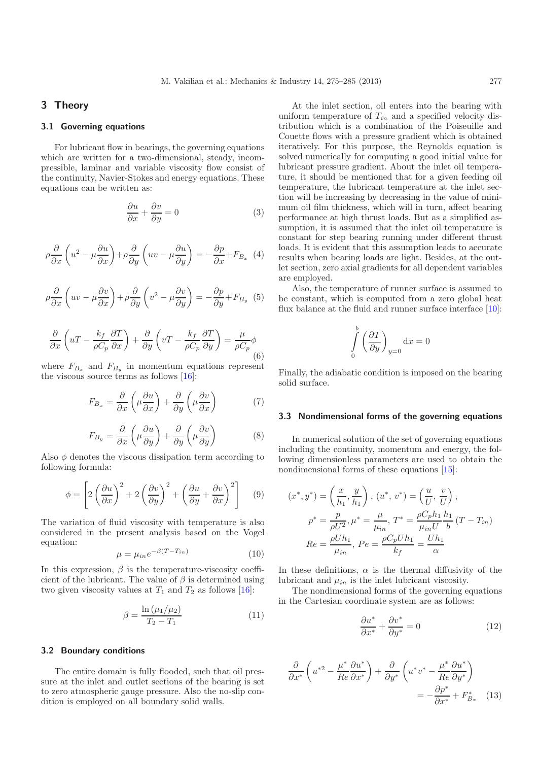## **3 Theory**

### **3.1 Governing equations**

For lubricant flow in bearings, the governing equations which are written for a two-dimensional, steady, incompressible, laminar and variable viscosity flow consist of the continuity, Navier-Stokes and energy equations. These equations can be written as:

$$
\frac{\partial u}{\partial x} + \frac{\partial v}{\partial y} = 0\tag{3}
$$

$$
\rho \frac{\partial}{\partial x} \left( u^2 - \mu \frac{\partial u}{\partial x} \right) + \rho \frac{\partial}{\partial y} \left( uv - \mu \frac{\partial u}{\partial y} \right) = -\frac{\partial p}{\partial x} + F_{B_x} \tag{4}
$$

$$
\rho \frac{\partial}{\partial x} \left( uv - \mu \frac{\partial v}{\partial x} \right) + \rho \frac{\partial}{\partial y} \left( v^2 - \mu \frac{\partial v}{\partial y} \right) = -\frac{\partial p}{\partial y} + F_{B_y} (5)
$$

$$
\frac{\partial}{\partial x}\left(uT - \frac{k_f}{\rho C_p}\frac{\partial T}{\partial x}\right) + \frac{\partial}{\partial y}\left(vT - \frac{k_f}{\rho C_p}\frac{\partial T}{\partial y}\right) = \frac{\mu}{\rho C_p}\phi
$$
\n(6)

where  $F_{B_x}$  and  $F_{B_y}$  in momentum equations represent the viscous source terms as follows [\[16\]](#page-10-3):

$$
F_{B_x} = \frac{\partial}{\partial x} \left( \mu \frac{\partial u}{\partial x} \right) + \frac{\partial}{\partial y} \left( \mu \frac{\partial v}{\partial x} \right) \tag{7}
$$

$$
F_{B_y} = \frac{\partial}{\partial x} \left( \mu \frac{\partial u}{\partial y} \right) + \frac{\partial}{\partial y} \left( \mu \frac{\partial v}{\partial y} \right) \tag{8}
$$

Also  $\phi$  denotes the viscous dissipation term according to following formula:

$$
\phi = \left[2\left(\frac{\partial u}{\partial x}\right)^2 + 2\left(\frac{\partial v}{\partial y}\right)^2 + \left(\frac{\partial u}{\partial y} + \frac{\partial v}{\partial x}\right)^2\right] \tag{9}
$$

The variation of fluid viscosity with temperature is also considered in the present analysis based on the Vogel equation:

$$
\mu = \mu_{in} e^{-\beta (T - T_{in})} \tag{10}
$$

In this expression,  $\beta$  is the temperature-viscosity coefficient of the lubricant. The value of  $\beta$  is determined using two given viscosity values at  $T_1$  and  $T_2$  as follows [\[16\]](#page-10-3):

$$
\beta = \frac{\ln \left(\mu_1/\mu_2\right)}{T_2 - T_1} \tag{11}
$$

#### **3.2 Boundary conditions**

The entire domain is fully flooded, such that oil pressure at the inlet and outlet sections of the bearing is set to zero atmospheric gauge pressure. Also the no-slip condition is employed on all boundary solid walls.

At the inlet section, oil enters into the bearing with uniform temperature of  $T_{in}$  and a specified velocity distribution which is a combination of the Poiseuille and Couette flows with a pressure gradient which is obtained iteratively. For this purpose, the Reynolds equation is solved numerically for computing a good initial value for lubricant pressure gradient. About the inlet oil temperature, it should be mentioned that for a given feeding oil temperature, the lubricant temperature at the inlet section will be increasing by decreasing in the value of minimum oil film thickness, which will in turn, affect bearing performance at high thrust loads. But as a simplified assumption, it is assumed that the inlet oil temperature is constant for step bearing running under different thrust loads. It is evident that this assumption leads to accurate results when bearing loads are light. Besides, at the outlet section, zero axial gradients for all dependent variables are employed.

Also, the temperature of runner surface is assumed to be constant, which is computed from a zero global heat flux balance at the fluid and runner surface interface [\[10](#page-9-9)]:

$$
\int_{0}^{b} \left(\frac{\partial T}{\partial y}\right)_{y=0} \mathrm{d}x = 0
$$

Finally, the adiabatic condition is imposed on the bearing solid surface.

#### **3.3 Nondimensional forms of the governing equations**

In numerical solution of the set of governing equations including the continuity, momentum and energy, the following dimensionless parameters are used to obtain the nondimensional forms of these equations [\[15\]](#page-10-2):

$$
(x^*, y^*) = \left(\frac{x}{h_1}, \frac{y}{h_1}\right), (u^*, v^*) = \left(\frac{u}{U}, \frac{v}{U}\right), p^* = \frac{p}{\rho U^2}, \mu^* = \frac{\mu}{\mu_{in}}, T^* = \frac{\rho C_p h_1}{\mu_{in} U} \frac{h_1}{b} (T - T_{in}) Re = \frac{\rho U h_1}{\mu_{in}}, Pe = \frac{\rho C_p U h_1}{k_f} = \frac{U h_1}{\alpha}
$$

In these definitions,  $\alpha$  is the thermal diffusivity of the lubricant and  $\mu_{in}$  is the inlet lubricant viscosity.

The nondimensional forms of the governing equations in the Cartesian coordinate system are as follows:

$$
\frac{\partial u^*}{\partial x^*} + \frac{\partial v^*}{\partial y^*} = 0 \tag{12}
$$

$$
\frac{\partial}{\partial x^*} \left( u^{*2} - \frac{\mu^*}{Re} \frac{\partial u^*}{\partial x^*} \right) + \frac{\partial}{\partial y^*} \left( u^* v^* - \frac{\mu^*}{Re} \frac{\partial u^*}{\partial y^*} \right)
$$

$$
= -\frac{\partial p^*}{\partial x^*} + F_{B_x}^* \quad (13)
$$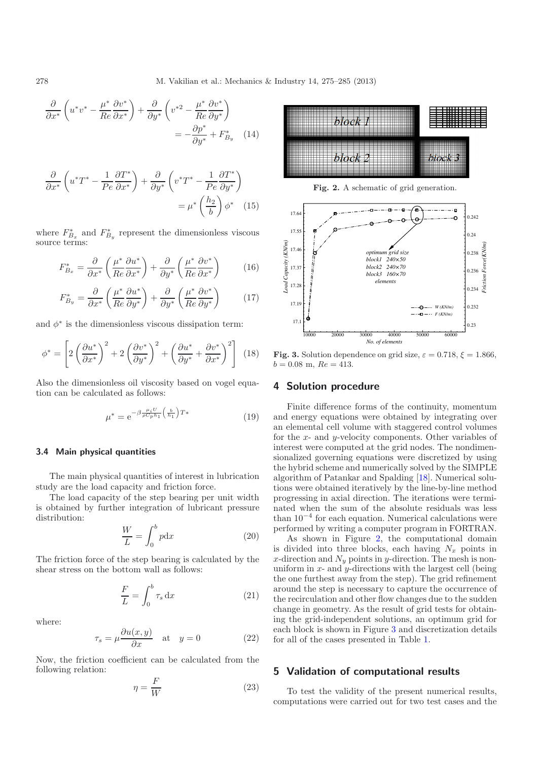$$
\frac{\partial}{\partial x^*} \left( u^* v^* - \frac{\mu^*}{Re} \frac{\partial v^*}{\partial x^*} \right) + \frac{\partial}{\partial y^*} \left( v^{*2} - \frac{\mu^*}{Re} \frac{\partial v^*}{\partial y^*} \right) \n= -\frac{\partial p^*}{\partial y^*} + F_{B_y}^* \quad (14)
$$

$$
\frac{\partial}{\partial x^*} \left( u^* T^* - \frac{1}{Pe} \frac{\partial T^*}{\partial x^*} \right) + \frac{\partial}{\partial y^*} \left( v^* T^* - \frac{1}{Pe} \frac{\partial T^*}{\partial y^*} \right)
$$

$$
= \mu^* \left( \frac{h_2}{b} \right) \phi^* \quad (15)
$$

where  $F_{B_x}^*$  and  $F_{B_y}^*$  represent the dimensionless viscous source terms:

$$
F_{B_x}^* = \frac{\partial}{\partial x^*} \left( \frac{\mu^*}{Re} \frac{\partial u^*}{\partial x^*} \right) + \frac{\partial}{\partial y^*} \left( \frac{\mu^*}{Re} \frac{\partial v^*}{\partial x^*} \right) \tag{16}
$$

$$
F_{B_y}^* = \frac{\partial}{\partial x^*} \left( \frac{\mu^*}{Re} \frac{\partial u^*}{\partial y^*} \right) + \frac{\partial}{\partial y^*} \left( \frac{\mu^*}{Re} \frac{\partial v^*}{\partial y^*} \right) \tag{17}
$$

and  $\phi^*$  is the dimensionless viscous dissipation term:

$$
\phi^* = \left[2\left(\frac{\partial u^*}{\partial x^*}\right)^2 + 2\left(\frac{\partial v^*}{\partial y^*}\right)^2 + \left(\frac{\partial u^*}{\partial y^*} + \frac{\partial v^*}{\partial x^*}\right)^2\right] \tag{18}
$$

Also the dimensionless oil viscosity based on vogel equation can be calculated as follows:

$$
\mu^* = e^{-\beta \frac{\mu_i U}{\rho C_p h_1} \left(\frac{b}{h_1}\right) T*} \tag{19}
$$

## **3.4 Main physical quantities**

The main physical quantities of interest in lubrication study are the load capacity and friction force.

The load capacity of the step bearing per unit width is obtained by further integration of lubricant pressure distribution:

$$
\frac{W}{L} = \int_0^b p \mathrm{d}x \tag{20}
$$

The friction force of the step bearing is calculated by the shear stress on the bottom wall as follows:

$$
\frac{F}{L} = \int_0^b \tau_s \, \mathrm{d}x \tag{21}
$$

where:

$$
\tau_s = \mu \frac{\partial u(x, y)}{\partial x} \quad \text{at} \quad y = 0 \tag{22}
$$

Now, the friction coefficient can be calculated from the following relation:

$$
\eta = \frac{F}{W} \tag{23}
$$

<span id="page-3-0"></span>

**Fig. 2.** A schematic of grid generation.

<span id="page-3-1"></span>

**Fig. 3.** Solution dependence on grid size,  $\varepsilon = 0.718$ ,  $\xi = 1.866$ ,  $b = 0.08$  m,  $Re = 413$ .

#### **4 Solution procedure**

Finite difference forms of the continuity, momentum and energy equations were obtained by integrating over an elemental cell volume with staggered control volumes for the  $x$ - and  $y$ -velocity components. Other variables of interest were computed at the grid nodes. The nondimensionalized governing equations were discretized by using the hybrid scheme and numerically solved by the SIMPLE algorithm of Patankar and Spalding [\[18\]](#page-10-5). Numerical solutions were obtained iteratively by the line-by-line method progressing in axial direction. The iterations were terminated when the sum of the absolute residuals was less than  $10^{-4}$  for each equation. Numerical calculations were performed by writing a computer program in FORTRAN.

As shown in Figure [2,](#page-3-0) the computational domain is divided into three blocks, each having  $N_x$  points in x-direction and  $N_y$  points in y-direction. The mesh is nonuniform in  $x$ - and  $y$ -directions with the largest cell (being the one furthest away from the step). The grid refinement around the step is necessary to capture the occurrence of the recirculation and other flow changes due to the sudden change in geometry. As the result of grid tests for obtaining the grid-independent solutions, an optimum grid for each block is shown in Figure [3](#page-3-1) and discretization details for all of the cases presented in Table [1.](#page-4-0)

## **5 Validation of computational results**

To test the validity of the present numerical results, computations were carried out for two test cases and the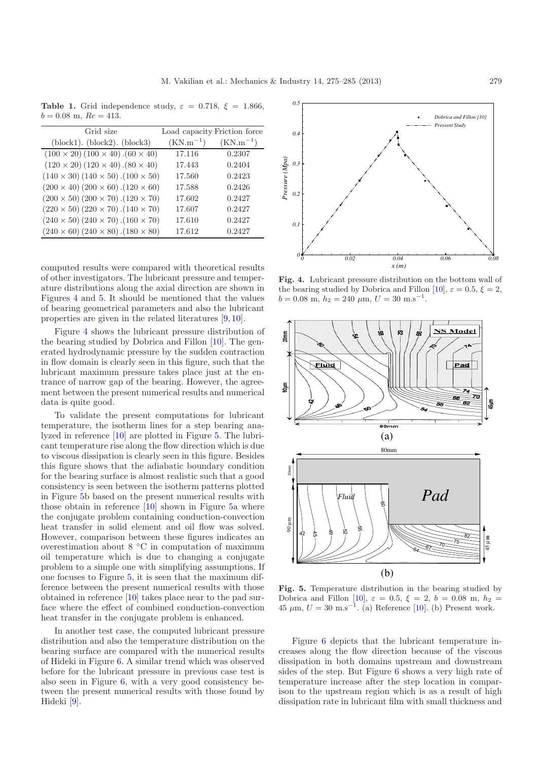<span id="page-4-0"></span>**Table 1.** Grid independence study,  $\varepsilon = 0.718$ ,  $\xi = 1.866$ ,  $b = 0.08$  m,  $Re = 413$ .

| Grid size                                           | Load capacity Friction force |               |
|-----------------------------------------------------|------------------------------|---------------|
| $(block1)$ . $(block2)$ . $(block3)$                | $(KN.m^{-1})$                | $(KN.m^{-1})$ |
| $(100 \times 20) (100 \times 40) . (60 \times 40)$  | 17.116                       | 0.2307        |
| $(120 \times 20) (120 \times 40) . (80 \times 40)$  | 17.443                       | 0.2404        |
| $(140 \times 30) (140 \times 50) . (100 \times 50)$ | 17.560                       | 0.2423        |
| $(200 \times 40) (200 \times 60) . (120 \times 60)$ | 17.588                       | 0.2426        |
| $(200 \times 50) (200 \times 70) . (120 \times 70)$ | 17.602                       | 0.2427        |
| $(220 \times 50) (220 \times 70) . (140 \times 70)$ | 17.607                       | 0.2427        |
| $(240 \times 50) (240 \times 70) . (160 \times 70)$ | 17.610                       | 0.2427        |
| $(240 \times 60) (240 \times 80) . (180 \times 80)$ | 17.612                       | 0.2427        |

computed results were compared with theoretical results of other investigators. The lubricant pressure and temperature distributions along the axial direction are shown in Figures [4](#page-4-1) and [5.](#page-4-2) It should be mentioned that the values of bearing geometrical parameters and also the lubricant properties are given in the related literatures [\[9](#page-9-8), [10\]](#page-9-9).

Figure [4](#page-4-1) shows the lubricant pressure distribution of the bearing studied by Dobrica and Fillon [\[10](#page-9-9)]. The generated hydrodynamic pressure by the sudden contraction in flow domain is clearly seen in this figure, such that the lubricant maximum pressure takes place just at the entrance of narrow gap of the bearing. However, the agreement between the present numerical results and numerical data is quite good.

To validate the present computations for lubricant temperature, the isotherm lines for a step bearing analyzed in reference [\[10](#page-9-9)] are plotted in Figure [5.](#page-4-2) The lubricant temperature rise along the flow direction which is due to viscous dissipation is clearly seen in this figure. Besides this figure shows that the adiabatic boundary condition for the bearing surface is almost realistic such that a good consistency is seen between the isotherm patterns plotted in Figure [5b](#page-4-2) based on the present numerical results with those obtain in reference [\[10](#page-9-9)] shown in Figure [5a](#page-4-2) where the conjugate problem containing conduction-convection heat transfer in solid element and oil flow was solved. However, comparison between these figures indicates an overestimation about 8 ◦C in computation of maximum oil temperature which is due to changing a conjugate problem to a simple one with simplifying assumptions. If one focuses to Figure [5,](#page-4-2) it is seen that the maximum difference between the present numerical results with those obtained in reference [\[10](#page-9-9)] takes place near to the pad surface where the effect of combined conduction-convection heat transfer in the conjugate problem is enhanced.

In another test case, the computed lubricant pressure distribution and also the temperature distribution on the bearing surface are compared with the numerical results of Hideki in Figure [6.](#page-5-0) A similar trend which was observed before for the lubricant pressure in previous case test is also seen in Figure [6,](#page-5-0) with a very good consistency between the present numerical results with those found by Hideki [\[9\]](#page-9-8).

<span id="page-4-1"></span>

**Fig. 4.** Lubricant pressure distribution on the bottom wall of the bearing studied by Dobrica and Fillon [\[10](#page-9-9)],  $\varepsilon = 0.5$ ,  $\xi = 2$ ,  $b = 0.08$  m,  $h_2 = 240$   $\mu$ m,  $U = 30$  m.s<sup>-1</sup>.



<span id="page-4-2"></span>**Fig. 5.** Temperature distribution in the bearing studied by Dobrica and Fillon [\[10](#page-9-9)],  $\varepsilon = 0.5$ ,  $\xi = 2$ ,  $b = 0.08$  m,  $h_2 =$  $45 \mu m, U = 30 \text{ m.s}^{-1}$ . (a) Reference [\[10](#page-9-9)]. (b) Present work.

Figure [6](#page-5-0) depicts that the lubricant temperature increases along the flow direction because of the viscous dissipation in both domains upstream and downstream sides of the step. But Figure [6](#page-5-0) shows a very high rate of temperature increase after the step location in comparison to the upstream region which is as a result of high dissipation rate in lubricant film with small thickness and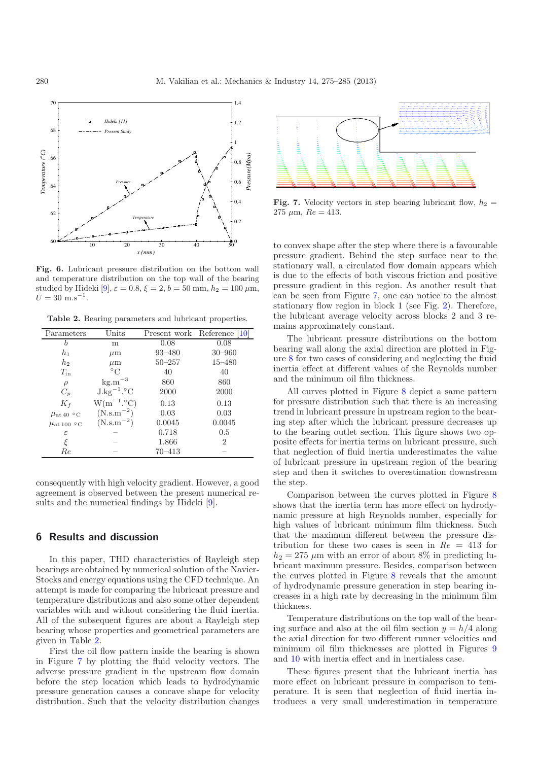<span id="page-5-0"></span>

<span id="page-5-1"></span>**Fig. 6.** Lubricant pressure distribution on the bottom wall and temperature distribution on the top wall of the bearing studied by Hideki [\[9\]](#page-9-8),  $\varepsilon = 0.8$ ,  $\xi = 2$ ,  $b = 50$  mm,  $h_2 = 100 \ \mu \text{m}$ ,  $U=30\ \mathrm{m.s^{-1}}.$ 

**Table 2.** Bearing parameters and lubricant properties.

| Parameters                | Units                              |            | Present work Reference [10] |
|---------------------------|------------------------------------|------------|-----------------------------|
| b                         | m                                  | 0.08       | 0.08                        |
| $h_1$                     | $\mu$ m                            | $93 - 480$ | $30 - 960$                  |
| h <sub>2</sub>            | $\mu$ m                            | $50 - 257$ | $15 - 480$                  |
| $T_{\rm in}$              | $^{\circ}{\rm C}$                  | 40         | 40                          |
| $\rho$                    | $\mathrm{kg.m}^{-3}$               | 860        | 860                         |
| $C_p$                     | $J \cdot kg^{-1}$ . <sup>o</sup> C | 2000       | 2000                        |
| $K_f$                     | $W(m^{-1}.\text{°}C)$              | 0.13       | 0.13                        |
| $\mu$ <sub>at 40</sub> °C | $(N.s.m^{-2})$                     | 0.03       | 0.03                        |
| $\mu$ at 100 °C           | $(N.s.m^{-2})$                     | 0.0045     | 0.0045                      |
| ε                         |                                    | 0.718      | 0.5                         |
| ξ                         |                                    | 1.866      | 2                           |
| Re                        |                                    | 70–413     |                             |

consequently with high velocity gradient. However, a good agreement is observed between the present numerical results and the numerical findings by Hideki [\[9\]](#page-9-8).

## **6 Results and discussion**

In this paper, THD characteristics of Rayleigh step bearings are obtained by numerical solution of the Navier-Stocks and energy equations using the CFD technique. An attempt is made for comparing the lubricant pressure and temperature distributions and also some other dependent variables with and without considering the fluid inertia. All of the subsequent figures are about a Rayleigh step bearing whose properties and geometrical parameters are given in Table [2.](#page-5-1)

First the oil flow pattern inside the bearing is shown in Figure [7](#page-5-2) by plotting the fluid velocity vectors. The adverse pressure gradient in the upstream flow domain before the step location which leads to hydrodynamic pressure generation causes a concave shape for velocity distribution. Such that the velocity distribution changes

<span id="page-5-2"></span>

**Fig. 7.** Velocity vectors in step bearing lubricant flow,  $h_2 =$ 275  $\mu$ m,  $Re = 413$ .

to convex shape after the step where there is a favourable pressure gradient. Behind the step surface near to the stationary wall, a circulated flow domain appears which is due to the effects of both viscous friction and positive pressure gradient in this region. As another result that can be seen from Figure [7,](#page-5-2) one can notice to the almost stationary flow region in block 1 (see Fig. [2\)](#page-3-0). Therefore, the lubricant average velocity across blocks 2 and 3 remains approximately constant.

The lubricant pressure distributions on the bottom bearing wall along the axial direction are plotted in Figure [8](#page-6-0) for two cases of considering and neglecting the fluid inertia effect at different values of the Reynolds number and the minimum oil film thickness.

All curves plotted in Figure [8](#page-6-0) depict a same pattern for pressure distribution such that there is an increasing trend in lubricant pressure in upstream region to the bearing step after which the lubricant pressure decreases up to the bearing outlet section. This figure shows two opposite effects for inertia terms on lubricant pressure, such that neglection of fluid inertia underestimates the value of lubricant pressure in upstream region of the bearing step and then it switches to overestimation downstream the step.

Comparison between the curves plotted in Figure [8](#page-6-0) shows that the inertia term has more effect on hydrodynamic pressure at high Reynolds number, especially for high values of lubricant minimum film thickness. Such that the maximum different between the pressure distribution for these two cases is seen in  $Re = 413$  for  $h_2 = 275 \mu m$  with an error of about 8% in predicting lubricant maximum pressure. Besides, comparison between the curves plotted in Figure [8](#page-6-0) reveals that the amount of hydrodynamic pressure generation in step bearing increases in a high rate by decreasing in the minimum film thickness.

Temperature distributions on the top wall of the bearing surface and also at the oil film section  $y = h/4$  along the axial direction for two different runner velocities and minimum oil film thicknesses are plotted in Figures [9](#page-6-1) and [10](#page-7-0) with inertia effect and in inertialess case.

These figures present that the lubricant inertia has more effect on lubricant pressure in comparison to temperature. It is seen that neglection of fluid inertia introduces a very small underestimation in temperature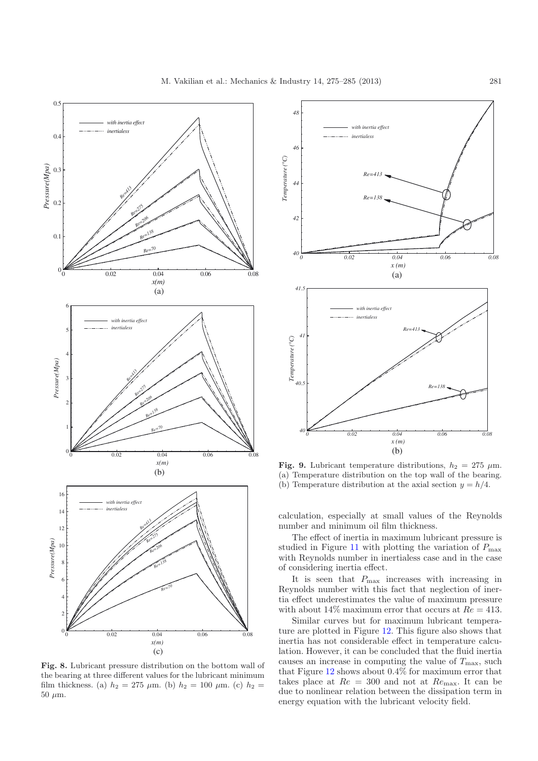

<span id="page-6-0"></span>**Fig. 8.** Lubricant pressure distribution on the bottom wall of the bearing at three different values for the lubricant minimum film thickness. (a)  $h_2 = 275 \mu m$ . (b)  $h_2 = 100 \mu m$ . (c)  $h_2 =$  $50 \mu m$ .



<span id="page-6-1"></span>**Fig. 9.** Lubricant temperature distributions,  $h_2 = 275 \mu m$ . (a) Temperature distribution on the top wall of the bearing. (b) Temperature distribution at the axial section  $y = h/4$ .

calculation, especially at small values of the Reynolds number and minimum oil film thickness.

The effect of inertia in maximum lubricant pressure is studied in Figure [11](#page-7-1) with plotting the variation of  $P_{\text{max}}$ with Reynolds number in inertialess case and in the case of considering inertia effect.

It is seen that  $P_{\text{max}}$  increases with increasing in Reynolds number with this fact that neglection of inertia effect underestimates the value of maximum pressure with about  $14\%$  maximum error that occurs at  $Re = 413$ .

Similar curves but for maximum lubricant temperature are plotted in Figure [12.](#page-7-2) This figure also shows that inertia has not considerable effect in temperature calculation. However, it can be concluded that the fluid inertia causes an increase in computing the value of  $T_{\text{max}}$ , such that Figure [12](#page-7-2) shows about 0.4% for maximum error that takes place at  $Re = 300$  and not at  $Re_{\text{max}}$ . It can be due to nonlinear relation between the dissipation term in energy equation with the lubricant velocity field.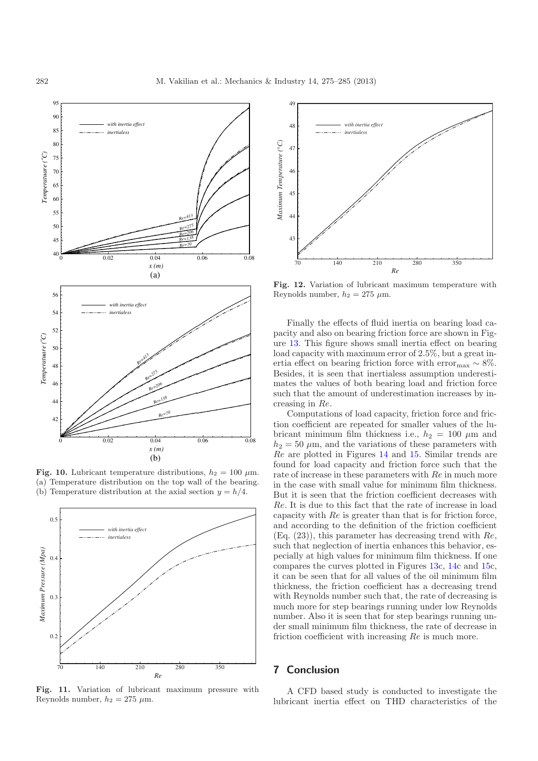

<span id="page-7-0"></span>**Fig. 10.** Lubricant temperature distributions,  $h_2 = 100 \mu$ m. (a) Temperature distribution on the top wall of the bearing. (b) Temperature distribution at the axial section  $y = h/4$ .

<span id="page-7-1"></span>

**Fig. 11.** Variation of lubricant maximum pressure with Reynolds number,  $h_2 = 275 \mu$ m.

<span id="page-7-2"></span>

**Fig. 12.** Variation of lubricant maximum temperature with Reynolds number,  $h_2 = 275 \mu m$ .

Finally the effects of fluid inertia on bearing load capacity and also on bearing friction force are shown in Figure [13.](#page-8-0) This figure shows small inertia effect on bearing load capacity with maximum error of 2.5%, but a great inertia effect on bearing friction force with error<sub>max</sub>  $\sim 8\%$ . Besides, it is seen that inertialess assumption underestimates the values of both bearing load and friction force such that the amount of underestimation increases by increasing in Re.

Computations of load capacity, friction force and friction coefficient are repeated for smaller values of the lubricant minimum film thickness i.e.,  $h_2 = 100 \mu$ m and  $h_2 = 50 \mu$ m, and the variations of these parameters with Re are plotted in Figures [14](#page-8-1) and [15.](#page-9-12) Similar trends are found for load capacity and friction force such that the rate of increase in these parameters with Re in much more in the case with small value for minimum film thickness. But it is seen that the friction coefficient decreases with Re. It is due to this fact that the rate of increase in load capacity with Re is greater than that is for friction force, and according to the definition of the friction coefficient  $(Eq. (23))$ , this parameter has decreasing trend with  $Re$ , such that neglection of inertia enhances this behavior, especially at high values for minimum film thickness. If one compares the curves plotted in Figures [13c](#page-8-0), [14c](#page-8-1) and [15c](#page-9-12), it can be seen that for all values of the oil minimum film thickness, the friction coefficient has a decreasing trend with Reynolds number such that, the rate of decreasing is much more for step bearings running under low Reynolds number. Also it is seen that for step bearings running under small minimum film thickness, the rate of decrease in friction coefficient with increasing Re is much more.

# **7 Conclusion**

A CFD based study is conducted to investigate the lubricant inertia effect on THD characteristics of the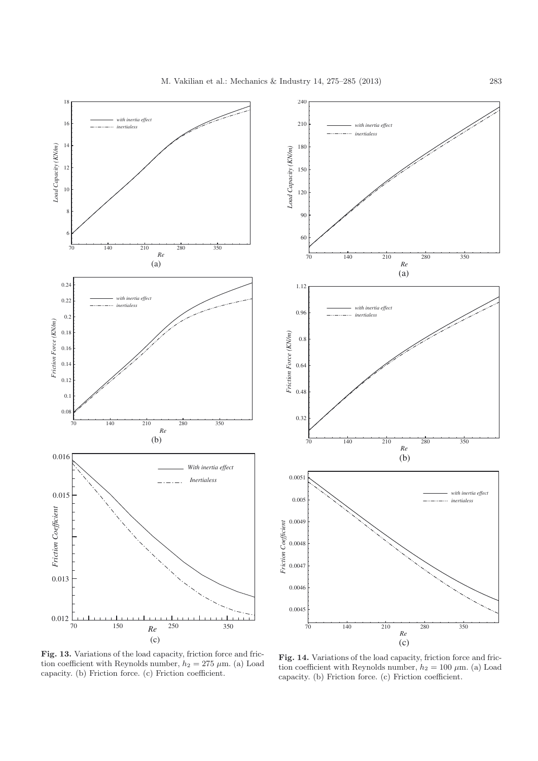



<span id="page-8-0"></span>**Fig. 13.** Variations of the load capacity, friction force and friction coefficient with Reynolds number,  $h_2 = 275 \mu$ m. (a) Load capacity. (b) Friction force. (c) Friction coefficient.

<span id="page-8-1"></span>Fig. 14. Variations of the load capacity, friction force and friction coefficient with Reynolds number,  $h_2 = 100 \mu$ m. (a) Load capacity. (b) Friction force. (c) Friction coefficient.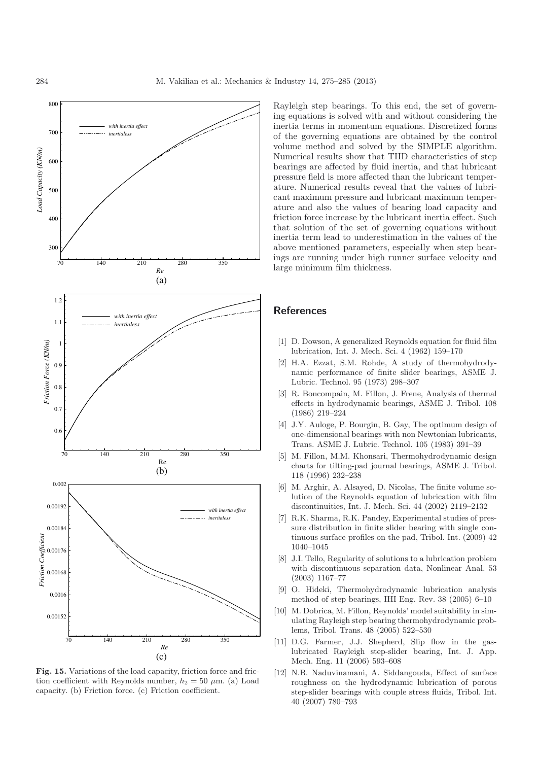

<span id="page-9-12"></span>**Fig. 15.** Variations of the load capacity, friction force and friction coefficient with Reynolds number,  $h_2 = 50 \mu$ m. (a) Load capacity. (b) Friction force. (c) Friction coefficient.

Rayleigh step bearings. To this end, the set of governing equations is solved with and without considering the inertia terms in momentum equations. Discretized forms of the governing equations are obtained by the control volume method and solved by the SIMPLE algorithm. Numerical results show that THD characteristics of step bearings are affected by fluid inertia, and that lubricant pressure field is more affected than the lubricant temperature. Numerical results reveal that the values of lubricant maximum pressure and lubricant maximum temperature and also the values of bearing load capacity and friction force increase by the lubricant inertia effect. Such that solution of the set of governing equations without inertia term lead to underestimation in the values of the above mentioned parameters, especially when step bearings are running under high runner surface velocity and large minimum film thickness.

## **References**

- <span id="page-9-0"></span>[1] D. Dowson, A generalized Reynolds equation for fluid film lubrication, Int. J. Mech. Sci. 4 (1962) 159–170
- <span id="page-9-1"></span>[2] H.A. Ezzat, S.M. Rohde, A study of thermohydrodynamic performance of finite slider bearings, ASME J. Lubric. Technol. 95 (1973) 298–307
- <span id="page-9-2"></span>[3] R. Boncompain, M. Fillon, J. Frene, Analysis of thermal effects in hydrodynamic bearings, ASME J. Tribol. 108 (1986) 219–224
- <span id="page-9-3"></span>[4] J.Y. Auloge, P. Bourgin, B. Gay, The optimum design of one-dimensional bearings with non Newtonian lubricants, Trans. ASME J. Lubric. Technol. 105 (1983) 391–39
- <span id="page-9-4"></span>[5] M. Fillon, M.M. Khonsari, Thermohydrodynamic design charts for tilting-pad journal bearings, ASME J. Tribol. 118 (1996) 232–238
- <span id="page-9-5"></span>[6] M. Arghir, A. Alsayed, D. Nicolas, The finite volume solution of the Reynolds equation of lubrication with film discontinuities, Int. J. Mech. Sci. 44 (2002) 2119–2132
- <span id="page-9-6"></span>[7] R.K. Sharma, R.K. Pandey, Experimental studies of pressure distribution in finite slider bearing with single continuous surface profiles on the pad, Tribol. Int. (2009) 42 1040–1045
- <span id="page-9-7"></span>[8] J.I. Tello, Regularity of solutions to a lubrication problem with discontinuous separation data, Nonlinear Anal. 53 (2003) 1167–77
- <span id="page-9-8"></span>[9] O. Hideki, Thermohydrodynamic lubrication analysis method of step bearings, IHI Eng. Rev. 38 (2005) 6–10
- <span id="page-9-9"></span>[10] M. Dobrica, M. Fillon, Reynolds' model suitability in simulating Rayleigh step bearing thermohydrodynamic problems, Tribol. Trans. 48 (2005) 522–530
- <span id="page-9-10"></span>[11] D.G. Farmer, J.J. Shepherd, Slip flow in the gaslubricated Rayleigh step-slider bearing, Int. J. App. Mech. Eng. 11 (2006) 593–608
- <span id="page-9-11"></span>[12] N.B. Naduvinamani, A. Siddangouda, Effect of surface roughness on the hydrodynamic lubrication of porous step-slider bearings with couple stress fluids, Tribol. Int. 40 (2007) 780–793